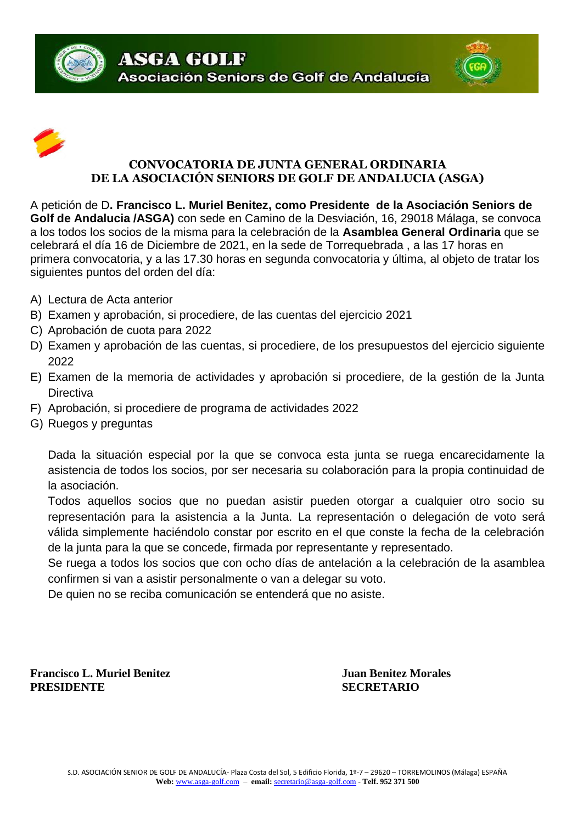





## **CONVOCATORIA DE JUNTA GENERAL ORDINARIA DE LA ASOCIACIÓN SENIORS DE GOLF DE ANDALUCIA (ASGA)**

A petición de D**. Francisco L. Muriel Benitez, como Presidente de la Asociación Seniors de Golf de Andalucia /ASGA)** con sede en Camino de la Desviación, 16, 29018 Málaga, se convoca a los todos los socios de la misma para la celebración de la **Asamblea General Ordinaria** que se celebrará el día 16 de Diciembre de 2021, en la sede de Torrequebrada , a las 17 horas en primera convocatoria, y a las 17.30 horas en segunda convocatoria y última, al objeto de tratar los siguientes puntos del orden del día:

- A) Lectura de Acta anterior
- B) Examen y aprobación, si procediere, de las cuentas del ejercicio 2021
- C) Aprobación de cuota para 2022
- D) Examen y aprobación de las cuentas, si procediere, de los presupuestos del ejercicio siguiente 2022
- E) Examen de la memoria de actividades y aprobación si procediere, de la gestión de la Junta **Directiva**
- F) Aprobación, si procediere de programa de actividades 2022
- G) Ruegos y preguntas

Dada la situación especial por la que se convoca esta junta se ruega encarecidamente la asistencia de todos los socios, por ser necesaria su colaboración para la propia continuidad de la asociación.

Todos aquellos socios que no puedan asistir pueden otorgar a cualquier otro socio su representación para la asistencia a la Junta. La representación o delegación de voto será válida simplemente haciéndolo constar por escrito en el que conste la fecha de la celebración de la junta para la que se concede, firmada por representante y representado.

Se ruega a todos los socios que con ocho días de antelación a la celebración de la asamblea confirmen si van a asistir personalmente o van a delegar su voto.

De quien no se reciba comunicación se entenderá que no asiste.

**Francisco L. Muriel Benitez Juan Benitez Morales PRESIDENTE SECRETARIO**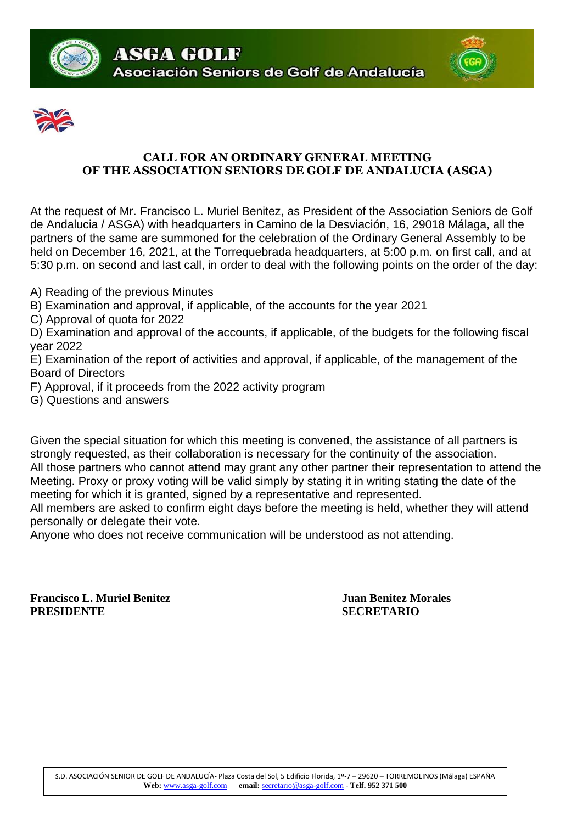





## **CALL FOR AN ORDINARY GENERAL MEETING OF THE ASSOCIATION SENIORS DE GOLF DE ANDALUCIA (ASGA)**

At the request of Mr. Francisco L. Muriel Benitez, as President of the Association Seniors de Golf de Andalucia / ASGA) with headquarters in Camino de la Desviación, 16, 29018 Málaga, all the partners of the same are summoned for the celebration of the Ordinary General Assembly to be held on December 16, 2021, at the Torrequebrada headquarters, at 5:00 p.m. on first call, and at 5:30 p.m. on second and last call, in order to deal with the following points on the order of the day:

- A) Reading of the previous Minutes
- B) Examination and approval, if applicable, of the accounts for the year 2021
- C) Approval of quota for 2022

D) Examination and approval of the accounts, if applicable, of the budgets for the following fiscal year 2022

E) Examination of the report of activities and approval, if applicable, of the management of the Board of Directors

- F) Approval, if it proceeds from the 2022 activity program
- G) Questions and answers

Given the special situation for which this meeting is convened, the assistance of all partners is strongly requested, as their collaboration is necessary for the continuity of the association. All those partners who cannot attend may grant any other partner their representation to attend the Meeting. Proxy or proxy voting will be valid simply by stating it in writing stating the date of the meeting for which it is granted, signed by a representative and represented.

All members are asked to confirm eight days before the meeting is held, whether they will attend personally or delegate their vote.

Anyone who does not receive communication will be understood as not attending.

**Francisco L. Muriel Benitez Juan Benitez Morales PRESIDENTE SECRETARIO**